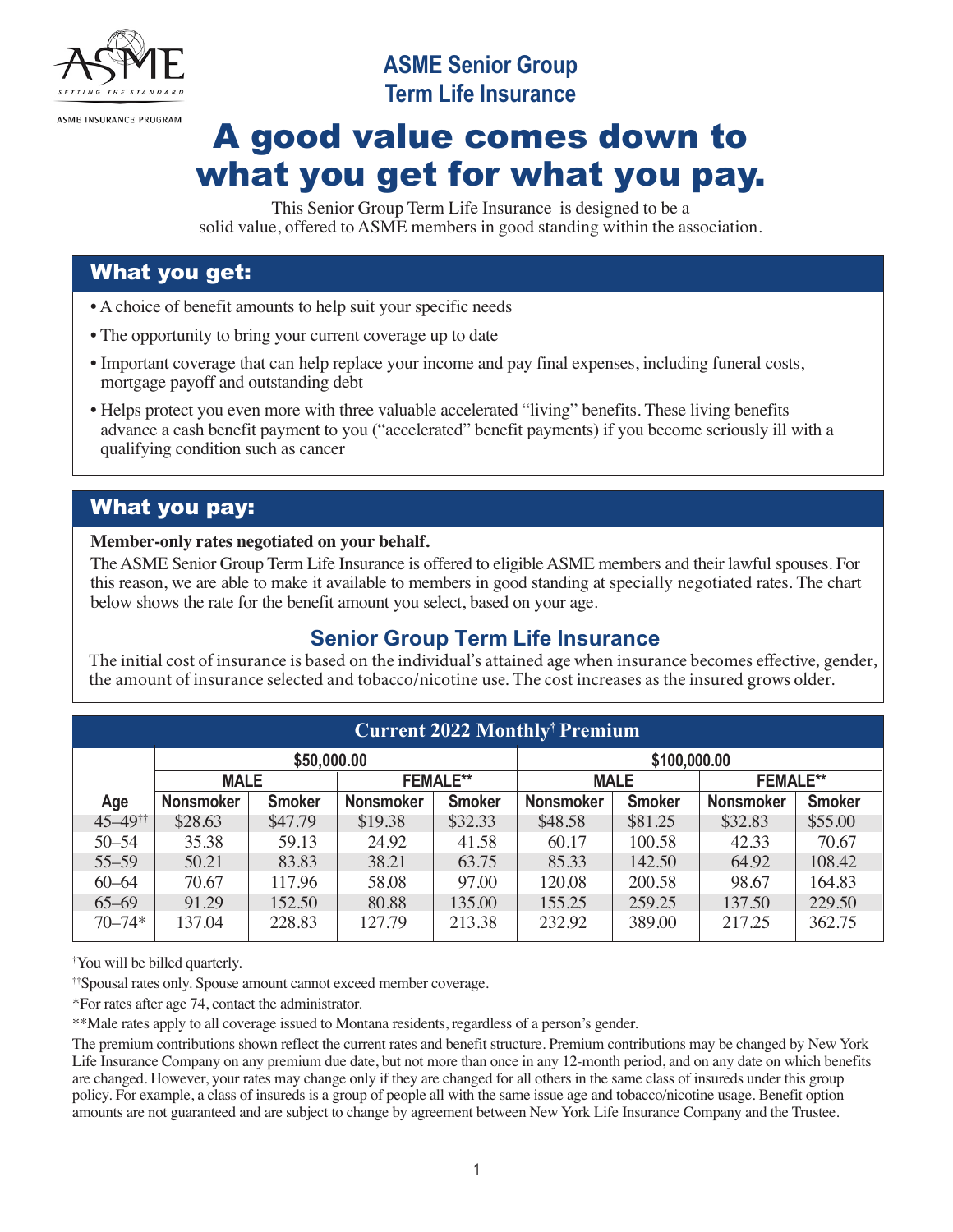

# **ASME Senior Group Term Life Insurance**

# A good value comes down to what you get for what you pay.

This Senior Group Term Life Insurance is designed to be a solid value, offered to ASME members in good standing within the association.

## What you get:

- A choice of benefit amounts to help suit your specific needs
- The opportunity to bring your current coverage up to date
- Important coverage that can help replace your income and pay final expenses, including funeral costs, mortgage payoff and outstanding debt
- Helps protect you even more with three valuable accelerated "living" benefits. These living benefits advance a cash benefit payment to you ("accelerated" benefit payments) if you become seriously ill with a qualifying condition such as cancer

# What you pay:

#### **Member-only rates negotiated on your behalf.**

The ASME Senior Group Term Life Insurance is offered to eligible ASME members and their lawful spouses. For this reason, we are able to make it available to members in good standing at specially negotiated rates. The chart below shows the rate for the benefit amount you select, based on your age.

## **Senior Group Term Life Insurance**

The initial cost of insurance is based on the individual's attained age when insurance becomes effective, gender, the amount of insurance selected and tobacco/nicotine use. The cost increases as the insured grows older.

| <b>Current 2022 Monthly<sup>†</sup> Premium</b> |                  |               |                  |               |                  |               |                  |               |
|-------------------------------------------------|------------------|---------------|------------------|---------------|------------------|---------------|------------------|---------------|
|                                                 | \$50,000.00      |               |                  | \$100,000.00  |                  |               |                  |               |
|                                                 | <b>MALE</b>      |               | <b>FEMALE**</b>  |               | <b>MALE</b>      |               | <b>FEMALE**</b>  |               |
| Age                                             | <b>Nonsmoker</b> | <b>Smoker</b> | <b>Nonsmoker</b> | <b>Smoker</b> | <b>Nonsmoker</b> | <b>Smoker</b> | <b>Nonsmoker</b> | <b>Smoker</b> |
| $45 - 49$ <sup>††</sup>                         | \$28.63          | \$47.79       | \$19.38          | \$32.33       | \$48.58          | \$81.25       | \$32.83          | \$55.00       |
| $50 - 54$                                       | 35.38            | 59.13         | 24.92            | 41.58         | 60.17            | 100.58        | 42.33            | 70.67         |
| $55 - 59$                                       | 50.21            | 83.83         | 38.21            | 63.75         | 85.33            | 142.50        | 64.92            | 108.42        |
| $60 - 64$                                       | 70.67            | 117.96        | 58.08            | 97.00         | 120.08           | 200.58        | 98.67            | 164.83        |
| $65 - 69$                                       | 91.29            | 152.50        | 80.88            | 135.00        | 155.25           | 259.25        | 137.50           | 229.50        |
| $70 - 74*$                                      | 137.04           | 228.83        | 127.79           | 213.38        | 232.92           | 389.00        | 217.25           | 362.75        |

† You will be billed quarterly.

††Spousal rates only. Spouse amount cannot exceed member coverage.

\*For rates after age 74, contact the administrator.

\*\*Male rates apply to all coverage issued to Montana residents, regardless of a person's gender.

The premium contributions shown reflect the current rates and benefit structure. Premium contributions may be changed by New York Life Insurance Company on any premium due date, but not more than once in any 12-month period, and on any date on which benefits are changed. However, your rates may change only if they are changed for all others in the same class of insureds under this group policy. For example, a class of insureds is a group of people all with the same issue age and tobacco/nicotine usage. Benefit option amounts are not guaranteed and are subject to change by agreement between New York Life Insurance Company and the Trustee.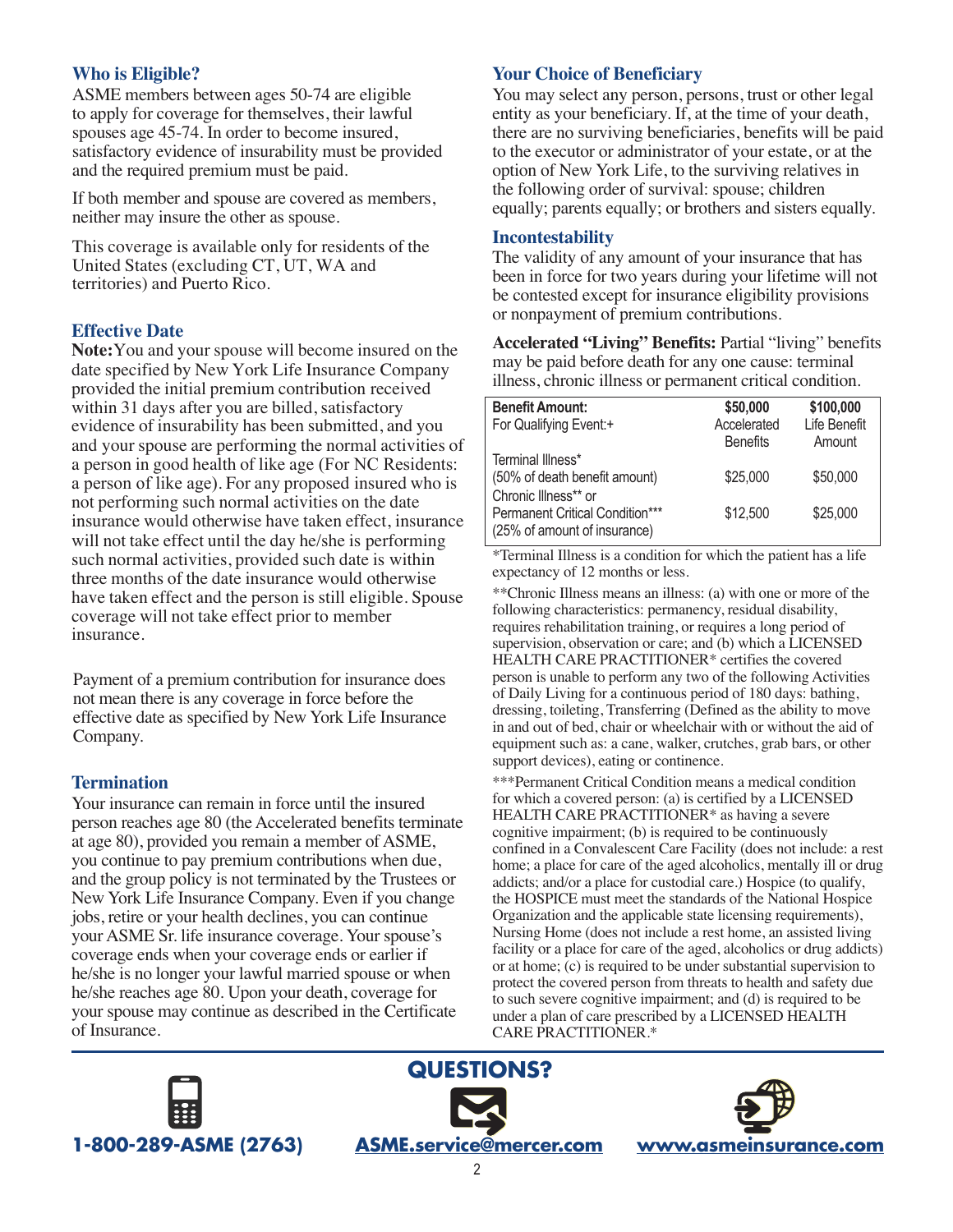## **Who is Eligible?**

ASME members between ages 50-74 are eligible to apply for coverage for themselves, their lawful spouses age 45-74. In order to become insured, satisfactory evidence of insurability must be provided and the required premium must be paid.

If both member and spouse are covered as members, neither may insure the other as spouse.

This coverage is available only for residents of the United States (excluding CT, UT, WA and territories) and Puerto Rico.

### **Effective Date**

**Note:**You and your spouse will become insured on the date specified by New York Life Insurance Company provided the initial premium contribution received within 31 days after you are billed, satisfactory evidence of insurability has been submitted, and you and your spouse are performing the normal activities of a person in good health of like age (For NC Residents: a person of like age). For any proposed insured who is not performing such normal activities on the date insurance would otherwise have taken effect, insurance will not take effect until the day he/she is performing such normal activities, provided such date is within three months of the date insurance would otherwise have taken effect and the person is still eligible. Spouse coverage will not take effect prior to member insurance.

Payment of a premium contribution for insurance does not mean there is any coverage in force before the effective date as specified by New York Life Insurance Company.

### **Termination**

Your insurance can remain in force until the insured person reaches age 80 (the Accelerated benefits terminate at age 80), provided you remain a member of ASME, you continue to pay premium contributions when due, and the group policy is not terminated by the Trustees or New York Life Insurance Company. Even if you change jobs, retire or your health declines, you can continue your ASME Sr. life insurance coverage. Your spouse's coverage ends when your coverage ends or earlier if he/she is no longer your lawful married spouse or when he/she reaches age 80. Upon your death, coverage for your spouse may continue as described in the Certificate of Insurance.

## **Your Choice of Beneficiary**

You may select any person, persons, trust or other legal entity as your beneficiary. If, at the time of your death, there are no surviving beneficiaries, benefits will be paid to the executor or administrator of your estate, or at the option of New York Life, to the surviving relatives in the following order of survival: spouse; children equally; parents equally; or brothers and sisters equally.

#### **Incontestability**

The validity of any amount of your insurance that has been in force for two years during your lifetime will not be contested except for insurance eligibility provisions or nonpayment of premium contributions.

**Accelerated "Living" Benefits:** Partial "living" benefits may be paid before death for any one cause: terminal illness, chronic illness or permanent critical condition.

| <b>Benefit Amount:</b>          | \$50,000        | \$100,000    |
|---------------------------------|-----------------|--------------|
| For Qualifying Event:+          | Accelerated     | Life Benefit |
|                                 | <b>Benefits</b> | Amount       |
| Terminal Illness*               |                 |              |
| (50% of death benefit amount)   | \$25,000        | \$50,000     |
| Chronic Illness** or            |                 |              |
| Permanent Critical Condition*** | \$12,500        | \$25,000     |
| (25% of amount of insurance)    |                 |              |
|                                 |                 |              |

\*Terminal Illness is a condition for which the patient has a life expectancy of 12 months or less.

\*\*Chronic Illness means an illness: (a) with one or more of the following characteristics: permanency, residual disability, requires rehabilitation training, or requires a long period of supervision, observation or care; and (b) which a LICENSED HEALTH CARE PRACTITIONER\* certifies the covered person is unable to perform any two of the following Activities of Daily Living for a continuous period of 180 days: bathing, dressing, toileting, Transferring (Defined as the ability to move in and out of bed, chair or wheelchair with or without the aid of equipment such as: a cane, walker, crutches, grab bars, or other support devices), eating or continence.

\*\*\*Permanent Critical Condition means a medical condition for which a covered person: (a) is certified by a LICENSED HEALTH CARE PRACTITIONER\* as having a severe cognitive impairment; (b) is required to be continuously confined in a Convalescent Care Facility (does not include: a rest home; a place for care of the aged alcoholics, mentally ill or drug addicts; and/or a place for custodial care.) Hospice (to qualify, the HOSPICE must meet the standards of the National Hospice Organization and the applicable state licensing requirements), Nursing Home (does not include a rest home, an assisted living facility or a place for care of the aged, alcoholics or drug addicts) or at home; (c) is required to be under substantial supervision to protect the covered person from threats to health and safety due to such severe cognitive impairment; and (d) is required to be under a plan of care prescribed by a LICENSED HEALTH CARE PRACTITIONER.\*





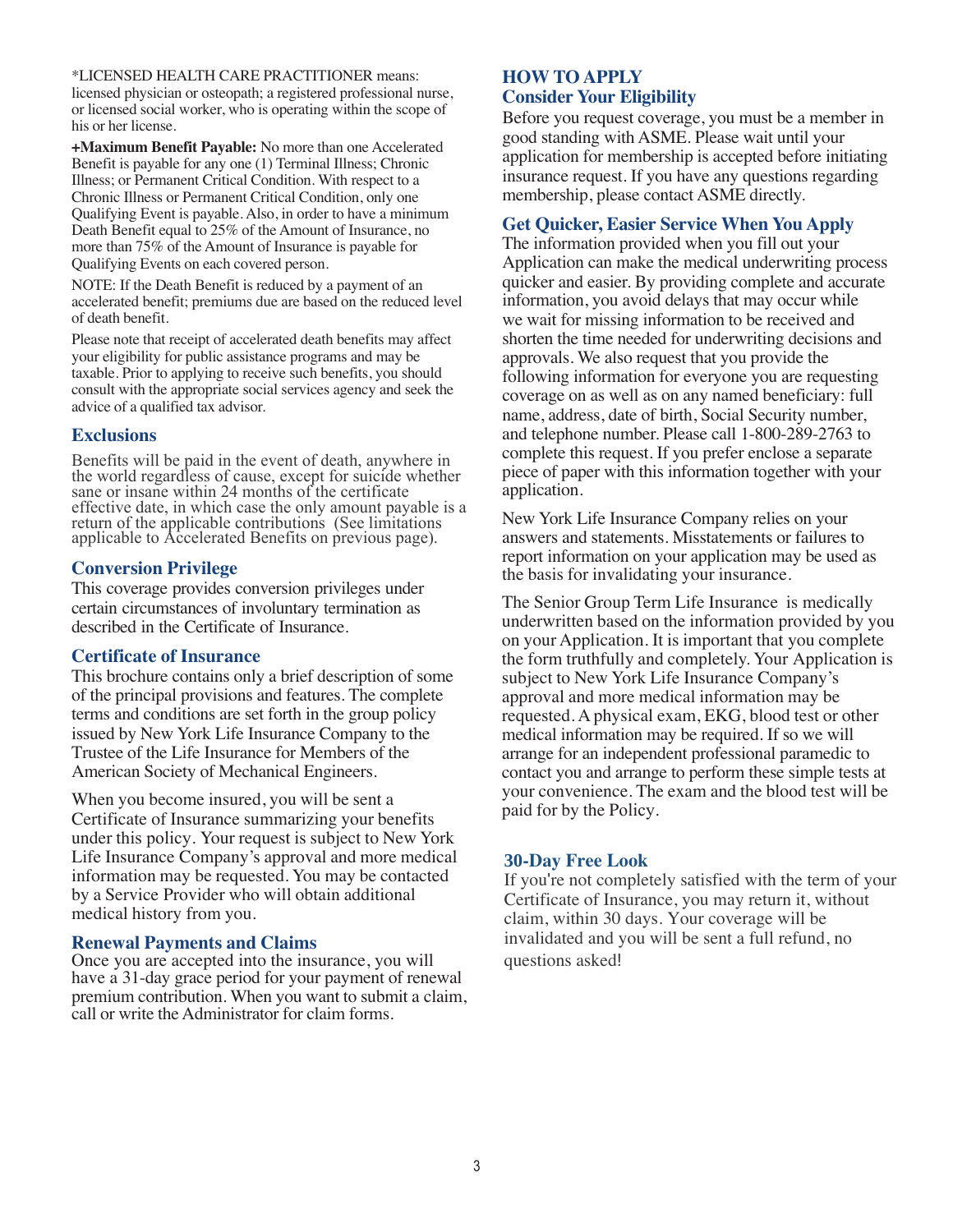\*LICENSED HEALTH CARE PRACTITIONER means: licensed physician or osteopath; a registered professional nurse, or licensed social worker, who is operating within the scope of his or her license.

**+Maximum Benefit Payable:** No more than one Accelerated Benefit is payable for any one (1) Terminal Illness; Chronic Illness; or Permanent Critical Condition. With respect to a Chronic Illness or Permanent Critical Condition, only one Qualifying Event is payable. Also, in order to have a minimum Death Benefit equal to 25% of the Amount of Insurance, no more than 75% of the Amount of Insurance is payable for Qualifying Events on each covered person.

NOTE: If the Death Benefit is reduced by a payment of an accelerated benefit; premiums due are based on the reduced level of death benefit.

Please note that receipt of accelerated death benefits may affect your eligibility for public assistance programs and may be taxable. Prior to applying to receive such benefits, you should consult with the appropriate social services agency and seek the advice of a qualified tax advisor.

#### **Exclusions**

Benefits will be paid in the event of death, anywhere in the world regardless of cause, except for suicide whether sane or insane within 24 months of the certificate effective date, in which case the only amount payable is a return of the applicable contributions (See limitations applicable to Accelerated Benefits on previous page).

#### **Conversion Privilege**

This coverage provides conversion privileges under certain circumstances of involuntary termination as described in the Certificate of Insurance.

#### **Certificate of Insurance**

This brochure contains only a brief description of some of the principal provisions and features. The complete terms and conditions are set forth in the group policy issued by New York Life Insurance Company to the Trustee of the Life Insurance for Members of the American Society of Mechanical Engineers.

When you become insured, you will be sent a Certificate of Insurance summarizing your benefits under this policy. Your request is subject to New York Life Insurance Company's approval and more medical information may be requested. You may be contacted by a Service Provider who will obtain additional medical history from you.

#### **Renewal Payments and Claims**

Once you are accepted into the insurance, you will have a 31-day grace period for your payment of renewal premium contribution. When you want to submit a claim, call or write the Administrator for claim forms.

#### **HOW TO APPLY Consider Your Eligibility**

Before you request coverage, you must be a member in good standing with ASME. Please wait until your application for membership is accepted before initiating insurance request. If you have any questions regarding membership, please contact ASME directly.

#### **Get Quicker, Easier Service When You Apply**

The information provided when you fill out your Application can make the medical underwriting process quicker and easier. By providing complete and accurate information, you avoid delays that may occur while we wait for missing information to be received and shorten the time needed for underwriting decisions and approvals. We also request that you provide the following information for everyone you are requesting coverage on as well as on any named beneficiary: full name, address, date of birth, Social Security number, and telephone number. Please call 1-800-289-2763 to complete this request. If you prefer enclose a separate piece of paper with this information together with your application.

New York Life Insurance Company relies on your answers and statements. Misstatements or failures to report information on your application may be used as the basis for invalidating your insurance.

The Senior Group Term Life Insurance is medically underwritten based on the information provided by you on your Application. It is important that you complete the form truthfully and completely. Your Application is subject to New York Life Insurance Company's approval and more medical information may be requested. A physical exam, EKG, blood test or other medical information may be required. If so we will arrange for an independent professional paramedic to contact you and arrange to perform these simple tests at your convenience. The exam and the blood test will be paid for by the Policy.

#### **30-Day Free Look**

If you're not completely satisfied with the term of your Certificate of Insurance, you may return it, without claim, within 30 days. Your coverage will be invalidated and you will be sent a full refund, no questions asked!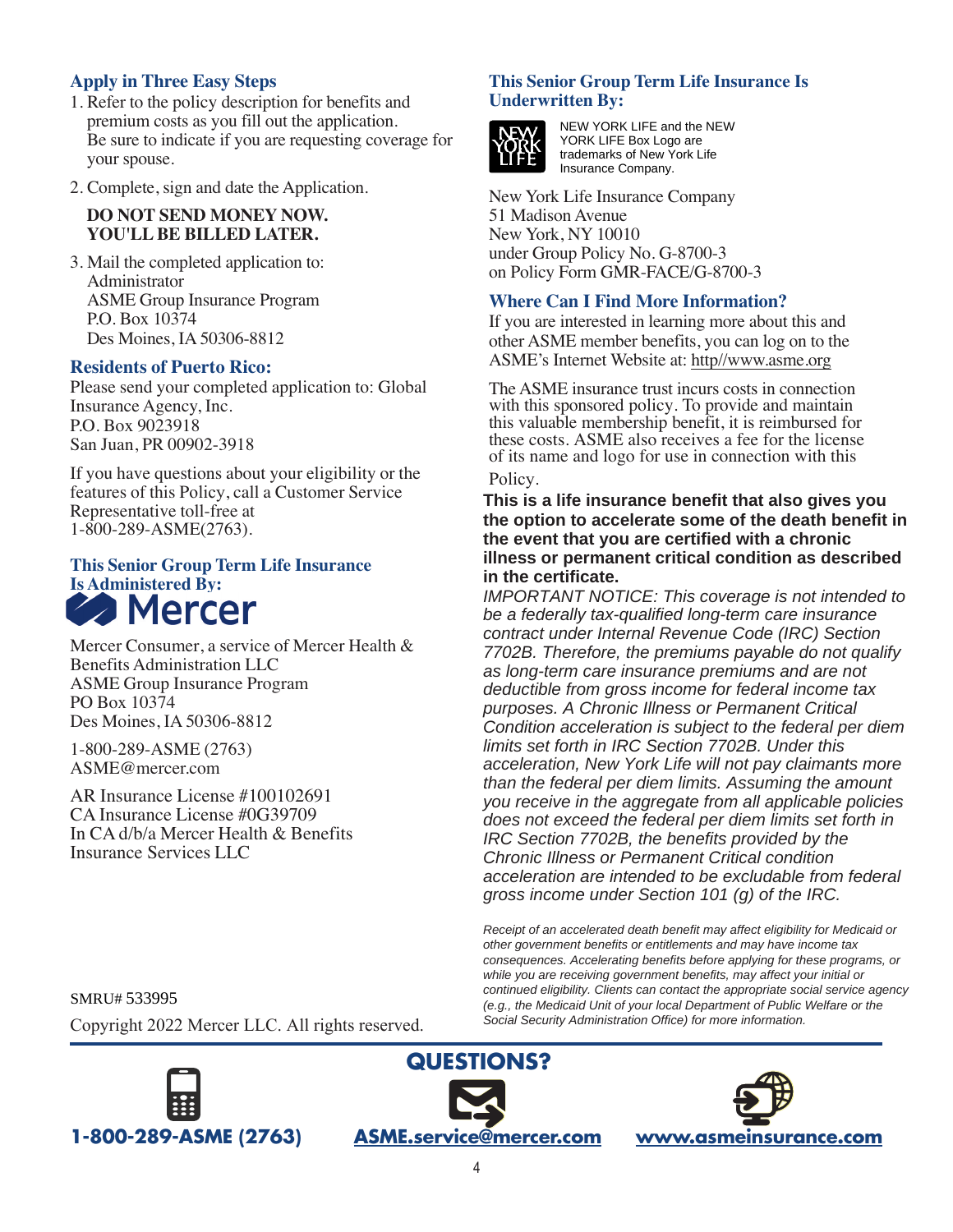## **Apply in Three Easy Steps**

- 1. Refer to the policy description for benefits and premium costs as you fill out the application. Be sure to indicate if you are requesting coverage for your spouse.
- 2. Complete, sign and date the Application.

#### **DO NOT SEND MONEY NOW. YOU'LL BE BILLED LATER.**

3. Mail the completed application to: Administrator ASME Group Insurance Program P.O. Box 10374 Des Moines, IA 50306-8812

#### **Residents of Puerto Rico:**

Please send your completed application to: Global Insurance Agency, Inc. P.O. Box 9023918 San Juan, PR 00902-3918

If you have questions about your eligibility or the features of this Policy, call a Customer Service Representative toll-free at 1-800-289-ASME(2763).

# **This Senior Group Term Life Insurance Is Administered By:**

Mercer Consumer, a service of Mercer Health & Benefits Administration LLC ASME Group Insurance Program PO Box 10374 Des Moines, IA 50306-8812

1-800-289-ASME (2763) ASME@mercer.com

AR Insurance License #100102691 CA Insurance License #0G39709 In CA d/b/a Mercer Health & Benefits Insurance Services LLC

#### **This Senior Group Term Life Insurance Is Underwritten By:**



NEW YORK LIFE and the NEW YORK LIFE Box Logo are trademarks of New York Life Insurance Company.

New York Life Insurance Company 51 Madison Avenue New York, NY 10010 under Group Policy No. G-8700-3 on Policy Form GMR-FACE/G-8700-3

#### **Where Can I Find More Information?**

If you are interested in learning more about this and other ASME member benefits, you can log on to the ASME's Internet Website at: http//www.asme.org

The ASME insurance trust incurs costs in connection with this sponsored policy. To provide and maintain this valuable membership benefit, it is reimbursed for these costs. ASME also receives a fee for the license of its name and logo for use in connection with this

#### Policy.

**This is a life insurance benefit that also gives you the option to accelerate some of the death benefit in the event that you are certified with a chronic illness or permanent critical condition as described in the certificate.**

*IMPORTANT NOTICE: This coverage is not intended to be a federally tax-qualified long-term care insurance contract under Internal Revenue Code (IRC) Section 7702B. Therefore, the premiums payable do not qualify as long-term care insurance premiums and are not deductible from gross income for federal income tax purposes. A Chronic Illness or Permanent Critical Condition acceleration is subject to the federal per diem limits set forth in IRC Section 7702B. Under this acceleration, New York Life will not pay claimants more than the federal per diem limits. Assuming the amount you receive in the aggregate from all applicable policies does not exceed the federal per diem limits set forth in IRC Section 7702B, the benefits provided by the Chronic Illness or Permanent Critical condition acceleration are intended to be excludable from federal gross income under Section 101 (g) of the IRC.*

*Receipt of an accelerated death benefit may affect eligibility for Medicaid or other government benefits or entitlements and may have income tax consequences. Accelerating benefits before applying for these programs, or while you are receiving government benefits, may affect your initial or continued eligibility. Clients can contact the appropriate social service agency (e.g., the Medicaid Unit of your local Department of Public Welfare or the Social Security Administration Office) for more information.*

SMRU# 533995

Copyright 2022 Mercer LLC. All rights reserved.





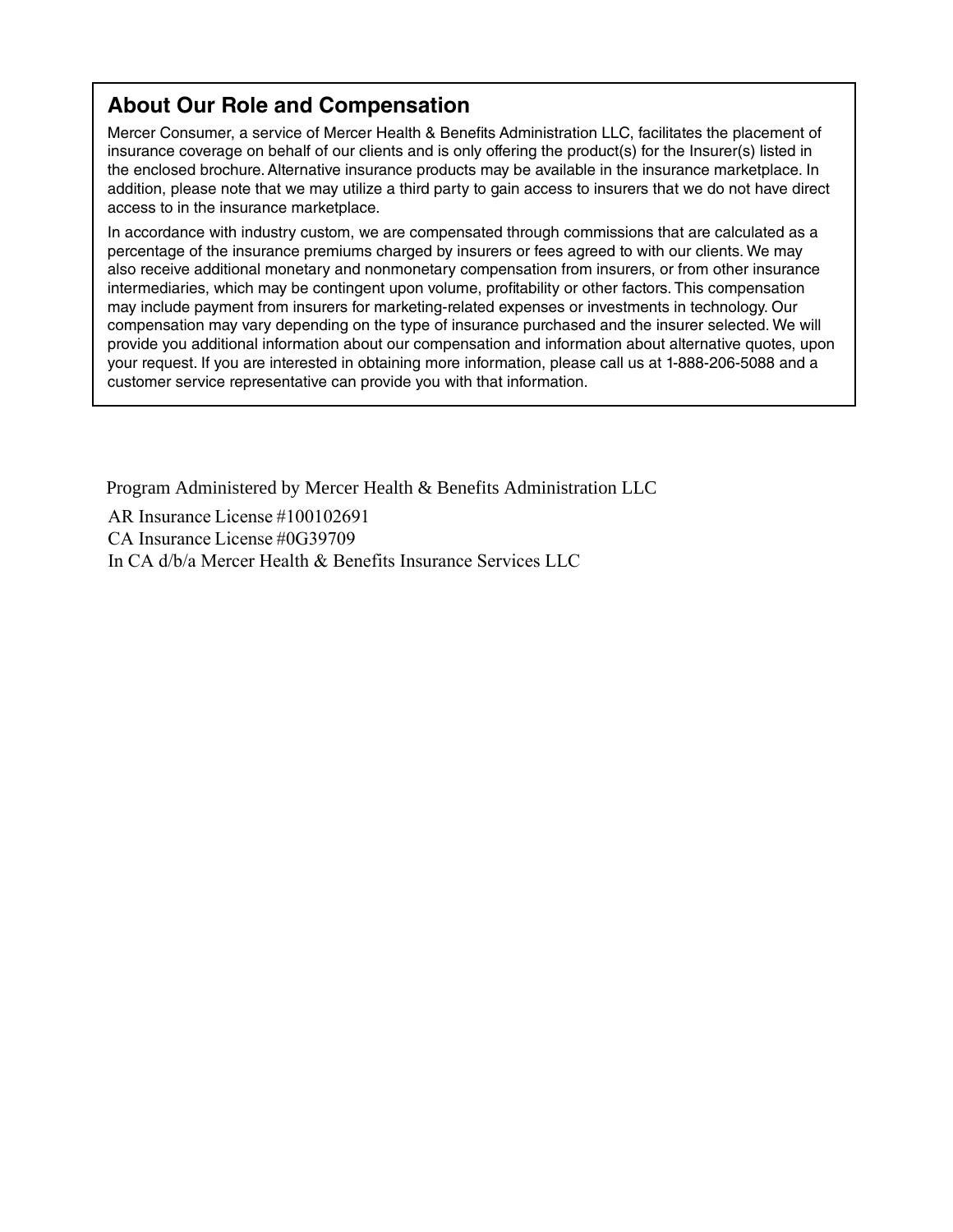# **About Our Role and Compensation**

Mercer Consumer, a service of Mercer Health & Benefits Administration LLC, facilitates the placement of insurance coverage on behalf of our clients and is only offering the product(s) for the Insurer(s) listed in the enclosed brochure. Alternative insurance products may be available in the insurance marketplace. In addition, please note that we may utilize a third party to gain access to insurers that we do not have direct access to in the insurance marketplace.

In accordance with industry custom, we are compensated through commissions that are calculated as a percentage of the insurance premiums charged by insurers or fees agreed to with our clients. We may also receive additional monetary and nonmonetary compensation from insurers, or from other insurance intermediaries, which may be contingent upon volume, profitability or other factors. This compensation may include payment from insurers for marketing-related expenses or investments in technology. Our compensation may vary depending on the type of insurance purchased and the insurer selected. We will provide you additional information about our compensation and information about alternative quotes, upon your request. If you are interested in obtaining more information, please call us at 1-888-206-5088 and a customer service representative can provide you with that information.

Program Administered by Mercer Health & Benefits Administration LLC

AR Insurance License #100102691 CA Insurance License #0G39709 In CA d/b/a Mercer Health & Benefits Insurance Services LLC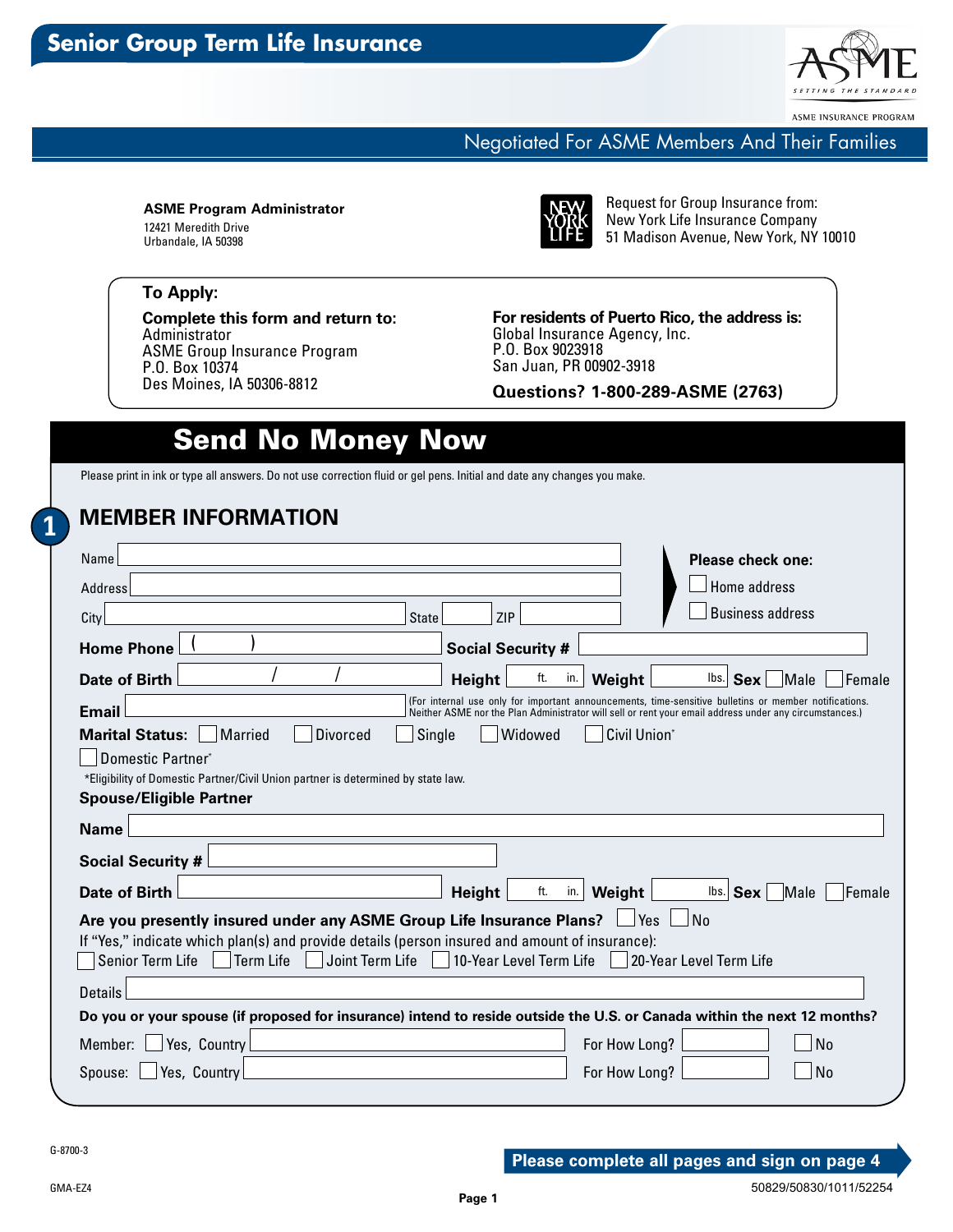

ASME INSURANCE PROGRAM

### Negotiated For ASME Members And Their Families

**ASME Program Administrator** 12421 Meredith Drive Urbandale, IA 50398



Request for Group Insurance from: New York Life Insurance Company 51 Madison Avenue, New York, NY 10010

#### **To Apply:**

**Complete this form and return to:** Administrator ASME Group Insurance Program P.O. Box 10374 Des Moines, IA 50306-8812

**For residents of Puerto Rico, the address is:** Global Insurance Agency, Inc. P.O. Box 9023918 San Juan, PR 00902-3918

**Questions? 1-800-289-ASME (2763)**

# Send No Money Now

Please print in ink or type all answers. Do not use correction fluid or gel pens. Initial and date any changes you make.

## **MEMBER INFORMATION**

| Name<br>Address                                                                                                                                                                                                                                                                                   | Please check one:<br>Home address                                                                                                                                                                               |  |  |  |  |
|---------------------------------------------------------------------------------------------------------------------------------------------------------------------------------------------------------------------------------------------------------------------------------------------------|-----------------------------------------------------------------------------------------------------------------------------------------------------------------------------------------------------------------|--|--|--|--|
| ZIP<br>City<br><b>State</b>                                                                                                                                                                                                                                                                       | <b>Business address</b>                                                                                                                                                                                         |  |  |  |  |
| <b>Home Phone</b><br><b>Social Security #</b>                                                                                                                                                                                                                                                     |                                                                                                                                                                                                                 |  |  |  |  |
| ft.<br>Date of Birth<br><b>Height</b>                                                                                                                                                                                                                                                             | lbs.<br>in.<br>Weight<br><b>Sex</b><br><b>Male</b><br>Female                                                                                                                                                    |  |  |  |  |
| <b>Email</b>                                                                                                                                                                                                                                                                                      | (For internal use only for important announcements, time-sensitive bulletins or member notifications.<br>Neither ASME nor the Plan Administrator will sell or rent your email address under any circumstances.) |  |  |  |  |
| <b>Marital Status:</b><br><b>Married</b><br><b>Divorced</b><br>Single<br>Widowed                                                                                                                                                                                                                  | Civil Union*                                                                                                                                                                                                    |  |  |  |  |
| Domestic Partner*                                                                                                                                                                                                                                                                                 |                                                                                                                                                                                                                 |  |  |  |  |
| *Eligibility of Domestic Partner/Civil Union partner is determined by state law.                                                                                                                                                                                                                  |                                                                                                                                                                                                                 |  |  |  |  |
| <b>Spouse/Eligible Partner</b>                                                                                                                                                                                                                                                                    |                                                                                                                                                                                                                 |  |  |  |  |
| <b>Name</b>                                                                                                                                                                                                                                                                                       |                                                                                                                                                                                                                 |  |  |  |  |
| <b>Social Security #</b>                                                                                                                                                                                                                                                                          |                                                                                                                                                                                                                 |  |  |  |  |
| Date of Birth<br>ft.<br><b>Height</b>                                                                                                                                                                                                                                                             | in.<br>Weight<br>$\mathsf{Ibs}$ Sex<br>Male<br>Female                                                                                                                                                           |  |  |  |  |
| Are you presently insured under any ASME Group Life Insurance Plans? L<br>l Yes<br>No<br>If "Yes," indicate which plan(s) and provide details (person insured and amount of insurance):<br>Senior Term Life<br>Term Life<br>Joint Term Life<br>10-Year Level Term Life<br>20-Year Level Term Life |                                                                                                                                                                                                                 |  |  |  |  |
| Details                                                                                                                                                                                                                                                                                           |                                                                                                                                                                                                                 |  |  |  |  |
| Do you or your spouse (if proposed for insurance) intend to reside outside the U.S. or Canada within the next 12 months?                                                                                                                                                                          |                                                                                                                                                                                                                 |  |  |  |  |
| Yes, Country<br>Member:                                                                                                                                                                                                                                                                           | <b>No</b><br>For How Long?                                                                                                                                                                                      |  |  |  |  |
| Yes, Country<br>Spouse:                                                                                                                                                                                                                                                                           | <b>No</b><br>For How Long?                                                                                                                                                                                      |  |  |  |  |

**1**

GMA-EZ4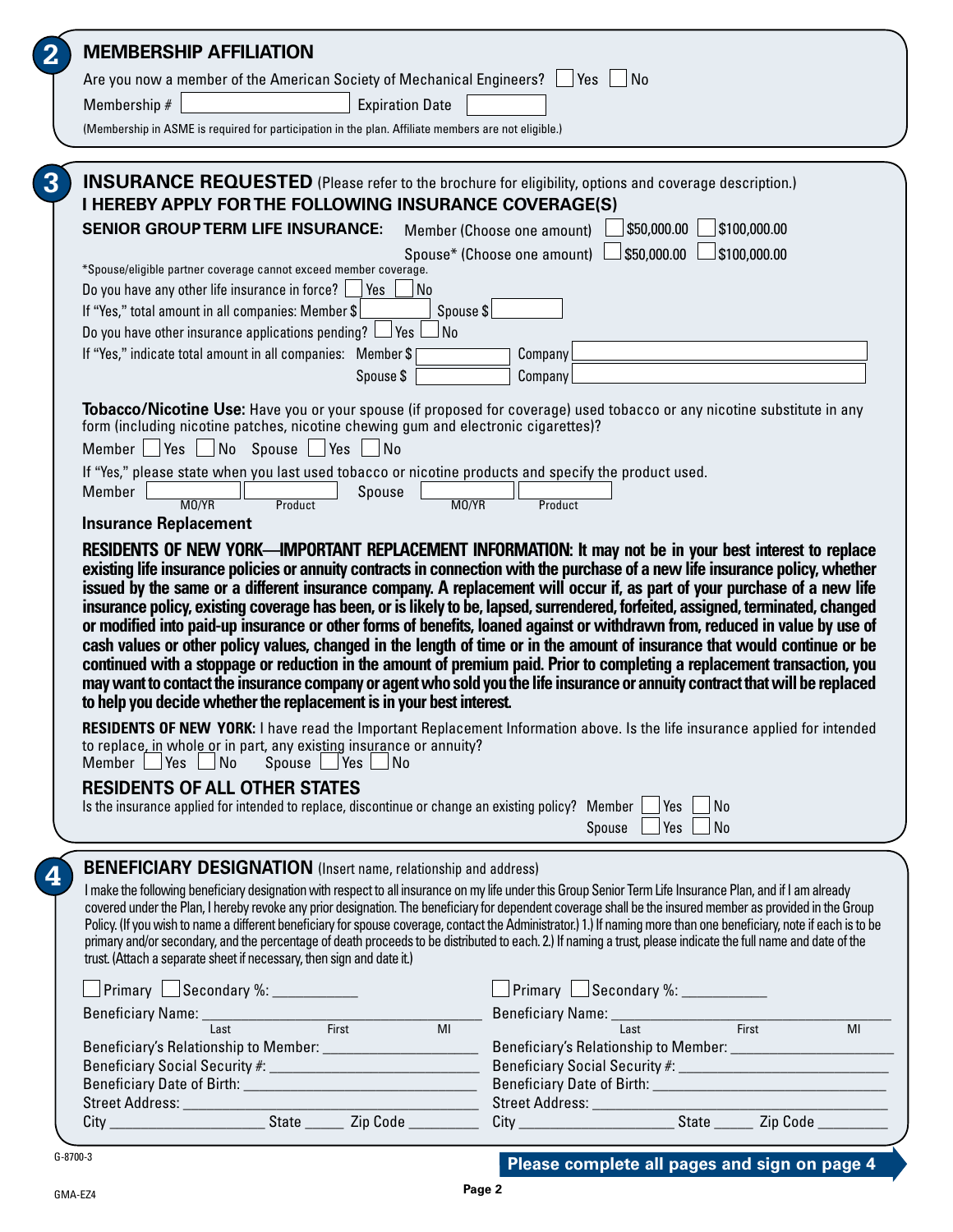| <b>MEMBERSHIP AFFILIATION</b><br>Are you now a member of the American Society of Mechanical Engineers?  <br>$ Yes $ $ No$<br>Membership #<br><b>Expiration Date</b><br>(Membership in ASME is required for participation in the plan. Affiliate members are not eligible.)<br><b>INSURANCE REQUESTED</b> (Please refer to the brochure for eligibility, options and coverage description.)<br>I HEREBY APPLY FOR THE FOLLOWING INSURANCE COVERAGE(S)<br><b>SENIOR GROUP TERM LIFE INSURANCE:</b><br>\$50,000.00<br>\$100,000.00<br>Member (Choose one amount)<br>$\Box$ \$50,000.00<br>\$100,000.00<br>Spouse* (Choose one amount)  <br>*Spouse/eligible partner coverage cannot exceed member coverage.<br>Do you have any other life insurance in force?<br><b>Pres</b><br>  No<br>If "Yes," total amount in all companies: Member \$<br>Spouse \$<br>Do you have other insurance applications pending? $\Box$ Yes<br>No<br>If "Yes," indicate total amount in all companies: Member \$<br>Company<br>Company<br>Spouse \$<br>Tobacco/Nicotine Use: Have you or your spouse (if proposed for coverage) used tobacco or any nicotine substitute in any<br>form (including nicotine patches, nicotine chewing gum and electronic cigarettes)?<br>Member Yes No Spouse Yes No<br>If "Yes," please state when you last used tobacco or nicotine products and specify the product used.<br>Member<br>Spouse<br>MO/YR<br>MO/YR<br>Product<br>Product<br><b>Insurance Replacement</b><br>RESIDENTS OF NEW YORK—IMPORTANT REPLACEMENT INFORMATION: It may not be in your best interest to replace<br>existing life insurance policies or annuity contracts in connection with the purchase of a new life insurance policy, whether<br>issued by the same or a different insurance company. A replacement will occur if, as part of your purchase of a new life<br>insurance policy, existing coverage has been, or is likely to be, lapsed, surrendered, forfeited, assigned, terminated, changed<br>or modified into paid-up insurance or other forms of benefits, loaned against or withdrawn from, reduced in value by use of<br>cash values or other policy values, changed in the length of time or in the amount of insurance that would continue or be<br>continued with a stoppage or reduction in the amount of premium paid. Prior to completing a replacement transaction, you<br>may want to contact the insurance company or agent who sold you the life insurance or annuity contract that will be replaced<br>to help you decide whether the replacement is in your best interest.<br><b>RESIDENTS OF NEW YORK:</b> I have read the Important Replacement Information above. Is the life insurance applied for intended<br>to replace, in whole or in part, any existing insurance or annuity?<br>Member Yes No Spouse Yes No<br><b>RESIDENTS OF ALL OTHER STATES</b><br>Is the insurance applied for intended to replace, discontinue or change an existing policy? Member $\Box$ Yes<br>  No<br>Yes<br>Spouse L<br>$\vert$ No<br><b>BENEFICIARY DESIGNATION</b> (Insert name, relationship and address)<br>I make the following beneficiary designation with respect to all insurance on my life under this Group Senior Term Life Insurance Plan, and if I am already<br>covered under the Plan, I hereby revoke any prior designation. The beneficiary for dependent coverage shall be the insured member as provided in the Group<br>Policy. (If you wish to name a different beneficiary for spouse coverage, contact the Administrator.) 1.) If naming more than one beneficiary, note if each is to be<br>primary and/or secondary, and the percentage of death proceeds to be distributed to each. 2.) If naming a trust, please indicate the full name and date of the<br>trust. (Attach a separate sheet if necessary, then sign and date it.)<br>Primary Secondary %: __________<br>$\Box$ Primary $\Box$ Secondary %: $\Box$<br>Beneficiary Name: Last First MI Beneficiary Name: Last First<br>$\overline{MI}$ |   |  |  |  |  |
|---------------------------------------------------------------------------------------------------------------------------------------------------------------------------------------------------------------------------------------------------------------------------------------------------------------------------------------------------------------------------------------------------------------------------------------------------------------------------------------------------------------------------------------------------------------------------------------------------------------------------------------------------------------------------------------------------------------------------------------------------------------------------------------------------------------------------------------------------------------------------------------------------------------------------------------------------------------------------------------------------------------------------------------------------------------------------------------------------------------------------------------------------------------------------------------------------------------------------------------------------------------------------------------------------------------------------------------------------------------------------------------------------------------------------------------------------------------------------------------------------------------------------------------------------------------------------------------------------------------------------------------------------------------------------------------------------------------------------------------------------------------------------------------------------------------------------------------------------------------------------------------------------------------------------------------------------------------------------------------------------------------------------------------------------------------------------------------------------------------------------------------------------------------------------------------------------------------------------------------------------------------------------------------------------------------------------------------------------------------------------------------------------------------------------------------------------------------------------------------------------------------------------------------------------------------------------------------------------------------------------------------------------------------------------------------------------------------------------------------------------------------------------------------------------------------------------------------------------------------------------------------------------------------------------------------------------------------------------------------------------------------------------------------------------------------------------------------------------------------------------------------------------------------------------------------------------------------------------------------------------------------------------------------------------------------------------------------------------------------------------------------------------------------------------------------------------------------------------------------------------------------------------------------------------------------------------------------------------------------------------------------------------------------------------------------------------------------------------------------------------------------------------------------------------------------------------------------------------------------------------------------------------------------------------------------------------------------------------------------------------------------------------------------|---|--|--|--|--|
|                                                                                                                                                                                                                                                                                                                                                                                                                                                                                                                                                                                                                                                                                                                                                                                                                                                                                                                                                                                                                                                                                                                                                                                                                                                                                                                                                                                                                                                                                                                                                                                                                                                                                                                                                                                                                                                                                                                                                                                                                                                                                                                                                                                                                                                                                                                                                                                                                                                                                                                                                                                                                                                                                                                                                                                                                                                                                                                                                                                                                                                                                                                                                                                                                                                                                                                                                                                                                                                                                                                                                                                                                                                                                                                                                                                                                                                                                                                                                                                                                                       | 2 |  |  |  |  |
|                                                                                                                                                                                                                                                                                                                                                                                                                                                                                                                                                                                                                                                                                                                                                                                                                                                                                                                                                                                                                                                                                                                                                                                                                                                                                                                                                                                                                                                                                                                                                                                                                                                                                                                                                                                                                                                                                                                                                                                                                                                                                                                                                                                                                                                                                                                                                                                                                                                                                                                                                                                                                                                                                                                                                                                                                                                                                                                                                                                                                                                                                                                                                                                                                                                                                                                                                                                                                                                                                                                                                                                                                                                                                                                                                                                                                                                                                                                                                                                                                                       |   |  |  |  |  |
|                                                                                                                                                                                                                                                                                                                                                                                                                                                                                                                                                                                                                                                                                                                                                                                                                                                                                                                                                                                                                                                                                                                                                                                                                                                                                                                                                                                                                                                                                                                                                                                                                                                                                                                                                                                                                                                                                                                                                                                                                                                                                                                                                                                                                                                                                                                                                                                                                                                                                                                                                                                                                                                                                                                                                                                                                                                                                                                                                                                                                                                                                                                                                                                                                                                                                                                                                                                                                                                                                                                                                                                                                                                                                                                                                                                                                                                                                                                                                                                                                                       |   |  |  |  |  |
|                                                                                                                                                                                                                                                                                                                                                                                                                                                                                                                                                                                                                                                                                                                                                                                                                                                                                                                                                                                                                                                                                                                                                                                                                                                                                                                                                                                                                                                                                                                                                                                                                                                                                                                                                                                                                                                                                                                                                                                                                                                                                                                                                                                                                                                                                                                                                                                                                                                                                                                                                                                                                                                                                                                                                                                                                                                                                                                                                                                                                                                                                                                                                                                                                                                                                                                                                                                                                                                                                                                                                                                                                                                                                                                                                                                                                                                                                                                                                                                                                                       |   |  |  |  |  |
|                                                                                                                                                                                                                                                                                                                                                                                                                                                                                                                                                                                                                                                                                                                                                                                                                                                                                                                                                                                                                                                                                                                                                                                                                                                                                                                                                                                                                                                                                                                                                                                                                                                                                                                                                                                                                                                                                                                                                                                                                                                                                                                                                                                                                                                                                                                                                                                                                                                                                                                                                                                                                                                                                                                                                                                                                                                                                                                                                                                                                                                                                                                                                                                                                                                                                                                                                                                                                                                                                                                                                                                                                                                                                                                                                                                                                                                                                                                                                                                                                                       |   |  |  |  |  |
|                                                                                                                                                                                                                                                                                                                                                                                                                                                                                                                                                                                                                                                                                                                                                                                                                                                                                                                                                                                                                                                                                                                                                                                                                                                                                                                                                                                                                                                                                                                                                                                                                                                                                                                                                                                                                                                                                                                                                                                                                                                                                                                                                                                                                                                                                                                                                                                                                                                                                                                                                                                                                                                                                                                                                                                                                                                                                                                                                                                                                                                                                                                                                                                                                                                                                                                                                                                                                                                                                                                                                                                                                                                                                                                                                                                                                                                                                                                                                                                                                                       | 3 |  |  |  |  |
|                                                                                                                                                                                                                                                                                                                                                                                                                                                                                                                                                                                                                                                                                                                                                                                                                                                                                                                                                                                                                                                                                                                                                                                                                                                                                                                                                                                                                                                                                                                                                                                                                                                                                                                                                                                                                                                                                                                                                                                                                                                                                                                                                                                                                                                                                                                                                                                                                                                                                                                                                                                                                                                                                                                                                                                                                                                                                                                                                                                                                                                                                                                                                                                                                                                                                                                                                                                                                                                                                                                                                                                                                                                                                                                                                                                                                                                                                                                                                                                                                                       |   |  |  |  |  |
|                                                                                                                                                                                                                                                                                                                                                                                                                                                                                                                                                                                                                                                                                                                                                                                                                                                                                                                                                                                                                                                                                                                                                                                                                                                                                                                                                                                                                                                                                                                                                                                                                                                                                                                                                                                                                                                                                                                                                                                                                                                                                                                                                                                                                                                                                                                                                                                                                                                                                                                                                                                                                                                                                                                                                                                                                                                                                                                                                                                                                                                                                                                                                                                                                                                                                                                                                                                                                                                                                                                                                                                                                                                                                                                                                                                                                                                                                                                                                                                                                                       |   |  |  |  |  |
|                                                                                                                                                                                                                                                                                                                                                                                                                                                                                                                                                                                                                                                                                                                                                                                                                                                                                                                                                                                                                                                                                                                                                                                                                                                                                                                                                                                                                                                                                                                                                                                                                                                                                                                                                                                                                                                                                                                                                                                                                                                                                                                                                                                                                                                                                                                                                                                                                                                                                                                                                                                                                                                                                                                                                                                                                                                                                                                                                                                                                                                                                                                                                                                                                                                                                                                                                                                                                                                                                                                                                                                                                                                                                                                                                                                                                                                                                                                                                                                                                                       |   |  |  |  |  |
|                                                                                                                                                                                                                                                                                                                                                                                                                                                                                                                                                                                                                                                                                                                                                                                                                                                                                                                                                                                                                                                                                                                                                                                                                                                                                                                                                                                                                                                                                                                                                                                                                                                                                                                                                                                                                                                                                                                                                                                                                                                                                                                                                                                                                                                                                                                                                                                                                                                                                                                                                                                                                                                                                                                                                                                                                                                                                                                                                                                                                                                                                                                                                                                                                                                                                                                                                                                                                                                                                                                                                                                                                                                                                                                                                                                                                                                                                                                                                                                                                                       |   |  |  |  |  |
|                                                                                                                                                                                                                                                                                                                                                                                                                                                                                                                                                                                                                                                                                                                                                                                                                                                                                                                                                                                                                                                                                                                                                                                                                                                                                                                                                                                                                                                                                                                                                                                                                                                                                                                                                                                                                                                                                                                                                                                                                                                                                                                                                                                                                                                                                                                                                                                                                                                                                                                                                                                                                                                                                                                                                                                                                                                                                                                                                                                                                                                                                                                                                                                                                                                                                                                                                                                                                                                                                                                                                                                                                                                                                                                                                                                                                                                                                                                                                                                                                                       |   |  |  |  |  |
|                                                                                                                                                                                                                                                                                                                                                                                                                                                                                                                                                                                                                                                                                                                                                                                                                                                                                                                                                                                                                                                                                                                                                                                                                                                                                                                                                                                                                                                                                                                                                                                                                                                                                                                                                                                                                                                                                                                                                                                                                                                                                                                                                                                                                                                                                                                                                                                                                                                                                                                                                                                                                                                                                                                                                                                                                                                                                                                                                                                                                                                                                                                                                                                                                                                                                                                                                                                                                                                                                                                                                                                                                                                                                                                                                                                                                                                                                                                                                                                                                                       |   |  |  |  |  |
|                                                                                                                                                                                                                                                                                                                                                                                                                                                                                                                                                                                                                                                                                                                                                                                                                                                                                                                                                                                                                                                                                                                                                                                                                                                                                                                                                                                                                                                                                                                                                                                                                                                                                                                                                                                                                                                                                                                                                                                                                                                                                                                                                                                                                                                                                                                                                                                                                                                                                                                                                                                                                                                                                                                                                                                                                                                                                                                                                                                                                                                                                                                                                                                                                                                                                                                                                                                                                                                                                                                                                                                                                                                                                                                                                                                                                                                                                                                                                                                                                                       |   |  |  |  |  |
|                                                                                                                                                                                                                                                                                                                                                                                                                                                                                                                                                                                                                                                                                                                                                                                                                                                                                                                                                                                                                                                                                                                                                                                                                                                                                                                                                                                                                                                                                                                                                                                                                                                                                                                                                                                                                                                                                                                                                                                                                                                                                                                                                                                                                                                                                                                                                                                                                                                                                                                                                                                                                                                                                                                                                                                                                                                                                                                                                                                                                                                                                                                                                                                                                                                                                                                                                                                                                                                                                                                                                                                                                                                                                                                                                                                                                                                                                                                                                                                                                                       |   |  |  |  |  |
|                                                                                                                                                                                                                                                                                                                                                                                                                                                                                                                                                                                                                                                                                                                                                                                                                                                                                                                                                                                                                                                                                                                                                                                                                                                                                                                                                                                                                                                                                                                                                                                                                                                                                                                                                                                                                                                                                                                                                                                                                                                                                                                                                                                                                                                                                                                                                                                                                                                                                                                                                                                                                                                                                                                                                                                                                                                                                                                                                                                                                                                                                                                                                                                                                                                                                                                                                                                                                                                                                                                                                                                                                                                                                                                                                                                                                                                                                                                                                                                                                                       |   |  |  |  |  |
|                                                                                                                                                                                                                                                                                                                                                                                                                                                                                                                                                                                                                                                                                                                                                                                                                                                                                                                                                                                                                                                                                                                                                                                                                                                                                                                                                                                                                                                                                                                                                                                                                                                                                                                                                                                                                                                                                                                                                                                                                                                                                                                                                                                                                                                                                                                                                                                                                                                                                                                                                                                                                                                                                                                                                                                                                                                                                                                                                                                                                                                                                                                                                                                                                                                                                                                                                                                                                                                                                                                                                                                                                                                                                                                                                                                                                                                                                                                                                                                                                                       |   |  |  |  |  |
|                                                                                                                                                                                                                                                                                                                                                                                                                                                                                                                                                                                                                                                                                                                                                                                                                                                                                                                                                                                                                                                                                                                                                                                                                                                                                                                                                                                                                                                                                                                                                                                                                                                                                                                                                                                                                                                                                                                                                                                                                                                                                                                                                                                                                                                                                                                                                                                                                                                                                                                                                                                                                                                                                                                                                                                                                                                                                                                                                                                                                                                                                                                                                                                                                                                                                                                                                                                                                                                                                                                                                                                                                                                                                                                                                                                                                                                                                                                                                                                                                                       |   |  |  |  |  |
|                                                                                                                                                                                                                                                                                                                                                                                                                                                                                                                                                                                                                                                                                                                                                                                                                                                                                                                                                                                                                                                                                                                                                                                                                                                                                                                                                                                                                                                                                                                                                                                                                                                                                                                                                                                                                                                                                                                                                                                                                                                                                                                                                                                                                                                                                                                                                                                                                                                                                                                                                                                                                                                                                                                                                                                                                                                                                                                                                                                                                                                                                                                                                                                                                                                                                                                                                                                                                                                                                                                                                                                                                                                                                                                                                                                                                                                                                                                                                                                                                                       |   |  |  |  |  |
|                                                                                                                                                                                                                                                                                                                                                                                                                                                                                                                                                                                                                                                                                                                                                                                                                                                                                                                                                                                                                                                                                                                                                                                                                                                                                                                                                                                                                                                                                                                                                                                                                                                                                                                                                                                                                                                                                                                                                                                                                                                                                                                                                                                                                                                                                                                                                                                                                                                                                                                                                                                                                                                                                                                                                                                                                                                                                                                                                                                                                                                                                                                                                                                                                                                                                                                                                                                                                                                                                                                                                                                                                                                                                                                                                                                                                                                                                                                                                                                                                                       |   |  |  |  |  |
|                                                                                                                                                                                                                                                                                                                                                                                                                                                                                                                                                                                                                                                                                                                                                                                                                                                                                                                                                                                                                                                                                                                                                                                                                                                                                                                                                                                                                                                                                                                                                                                                                                                                                                                                                                                                                                                                                                                                                                                                                                                                                                                                                                                                                                                                                                                                                                                                                                                                                                                                                                                                                                                                                                                                                                                                                                                                                                                                                                                                                                                                                                                                                                                                                                                                                                                                                                                                                                                                                                                                                                                                                                                                                                                                                                                                                                                                                                                                                                                                                                       |   |  |  |  |  |
|                                                                                                                                                                                                                                                                                                                                                                                                                                                                                                                                                                                                                                                                                                                                                                                                                                                                                                                                                                                                                                                                                                                                                                                                                                                                                                                                                                                                                                                                                                                                                                                                                                                                                                                                                                                                                                                                                                                                                                                                                                                                                                                                                                                                                                                                                                                                                                                                                                                                                                                                                                                                                                                                                                                                                                                                                                                                                                                                                                                                                                                                                                                                                                                                                                                                                                                                                                                                                                                                                                                                                                                                                                                                                                                                                                                                                                                                                                                                                                                                                                       |   |  |  |  |  |
|                                                                                                                                                                                                                                                                                                                                                                                                                                                                                                                                                                                                                                                                                                                                                                                                                                                                                                                                                                                                                                                                                                                                                                                                                                                                                                                                                                                                                                                                                                                                                                                                                                                                                                                                                                                                                                                                                                                                                                                                                                                                                                                                                                                                                                                                                                                                                                                                                                                                                                                                                                                                                                                                                                                                                                                                                                                                                                                                                                                                                                                                                                                                                                                                                                                                                                                                                                                                                                                                                                                                                                                                                                                                                                                                                                                                                                                                                                                                                                                                                                       |   |  |  |  |  |
|                                                                                                                                                                                                                                                                                                                                                                                                                                                                                                                                                                                                                                                                                                                                                                                                                                                                                                                                                                                                                                                                                                                                                                                                                                                                                                                                                                                                                                                                                                                                                                                                                                                                                                                                                                                                                                                                                                                                                                                                                                                                                                                                                                                                                                                                                                                                                                                                                                                                                                                                                                                                                                                                                                                                                                                                                                                                                                                                                                                                                                                                                                                                                                                                                                                                                                                                                                                                                                                                                                                                                                                                                                                                                                                                                                                                                                                                                                                                                                                                                                       |   |  |  |  |  |
|                                                                                                                                                                                                                                                                                                                                                                                                                                                                                                                                                                                                                                                                                                                                                                                                                                                                                                                                                                                                                                                                                                                                                                                                                                                                                                                                                                                                                                                                                                                                                                                                                                                                                                                                                                                                                                                                                                                                                                                                                                                                                                                                                                                                                                                                                                                                                                                                                                                                                                                                                                                                                                                                                                                                                                                                                                                                                                                                                                                                                                                                                                                                                                                                                                                                                                                                                                                                                                                                                                                                                                                                                                                                                                                                                                                                                                                                                                                                                                                                                                       |   |  |  |  |  |
|                                                                                                                                                                                                                                                                                                                                                                                                                                                                                                                                                                                                                                                                                                                                                                                                                                                                                                                                                                                                                                                                                                                                                                                                                                                                                                                                                                                                                                                                                                                                                                                                                                                                                                                                                                                                                                                                                                                                                                                                                                                                                                                                                                                                                                                                                                                                                                                                                                                                                                                                                                                                                                                                                                                                                                                                                                                                                                                                                                                                                                                                                                                                                                                                                                                                                                                                                                                                                                                                                                                                                                                                                                                                                                                                                                                                                                                                                                                                                                                                                                       |   |  |  |  |  |
|                                                                                                                                                                                                                                                                                                                                                                                                                                                                                                                                                                                                                                                                                                                                                                                                                                                                                                                                                                                                                                                                                                                                                                                                                                                                                                                                                                                                                                                                                                                                                                                                                                                                                                                                                                                                                                                                                                                                                                                                                                                                                                                                                                                                                                                                                                                                                                                                                                                                                                                                                                                                                                                                                                                                                                                                                                                                                                                                                                                                                                                                                                                                                                                                                                                                                                                                                                                                                                                                                                                                                                                                                                                                                                                                                                                                                                                                                                                                                                                                                                       |   |  |  |  |  |
|                                                                                                                                                                                                                                                                                                                                                                                                                                                                                                                                                                                                                                                                                                                                                                                                                                                                                                                                                                                                                                                                                                                                                                                                                                                                                                                                                                                                                                                                                                                                                                                                                                                                                                                                                                                                                                                                                                                                                                                                                                                                                                                                                                                                                                                                                                                                                                                                                                                                                                                                                                                                                                                                                                                                                                                                                                                                                                                                                                                                                                                                                                                                                                                                                                                                                                                                                                                                                                                                                                                                                                                                                                                                                                                                                                                                                                                                                                                                                                                                                                       |   |  |  |  |  |
|                                                                                                                                                                                                                                                                                                                                                                                                                                                                                                                                                                                                                                                                                                                                                                                                                                                                                                                                                                                                                                                                                                                                                                                                                                                                                                                                                                                                                                                                                                                                                                                                                                                                                                                                                                                                                                                                                                                                                                                                                                                                                                                                                                                                                                                                                                                                                                                                                                                                                                                                                                                                                                                                                                                                                                                                                                                                                                                                                                                                                                                                                                                                                                                                                                                                                                                                                                                                                                                                                                                                                                                                                                                                                                                                                                                                                                                                                                                                                                                                                                       |   |  |  |  |  |
|                                                                                                                                                                                                                                                                                                                                                                                                                                                                                                                                                                                                                                                                                                                                                                                                                                                                                                                                                                                                                                                                                                                                                                                                                                                                                                                                                                                                                                                                                                                                                                                                                                                                                                                                                                                                                                                                                                                                                                                                                                                                                                                                                                                                                                                                                                                                                                                                                                                                                                                                                                                                                                                                                                                                                                                                                                                                                                                                                                                                                                                                                                                                                                                                                                                                                                                                                                                                                                                                                                                                                                                                                                                                                                                                                                                                                                                                                                                                                                                                                                       |   |  |  |  |  |
|                                                                                                                                                                                                                                                                                                                                                                                                                                                                                                                                                                                                                                                                                                                                                                                                                                                                                                                                                                                                                                                                                                                                                                                                                                                                                                                                                                                                                                                                                                                                                                                                                                                                                                                                                                                                                                                                                                                                                                                                                                                                                                                                                                                                                                                                                                                                                                                                                                                                                                                                                                                                                                                                                                                                                                                                                                                                                                                                                                                                                                                                                                                                                                                                                                                                                                                                                                                                                                                                                                                                                                                                                                                                                                                                                                                                                                                                                                                                                                                                                                       |   |  |  |  |  |
|                                                                                                                                                                                                                                                                                                                                                                                                                                                                                                                                                                                                                                                                                                                                                                                                                                                                                                                                                                                                                                                                                                                                                                                                                                                                                                                                                                                                                                                                                                                                                                                                                                                                                                                                                                                                                                                                                                                                                                                                                                                                                                                                                                                                                                                                                                                                                                                                                                                                                                                                                                                                                                                                                                                                                                                                                                                                                                                                                                                                                                                                                                                                                                                                                                                                                                                                                                                                                                                                                                                                                                                                                                                                                                                                                                                                                                                                                                                                                                                                                                       |   |  |  |  |  |
|                                                                                                                                                                                                                                                                                                                                                                                                                                                                                                                                                                                                                                                                                                                                                                                                                                                                                                                                                                                                                                                                                                                                                                                                                                                                                                                                                                                                                                                                                                                                                                                                                                                                                                                                                                                                                                                                                                                                                                                                                                                                                                                                                                                                                                                                                                                                                                                                                                                                                                                                                                                                                                                                                                                                                                                                                                                                                                                                                                                                                                                                                                                                                                                                                                                                                                                                                                                                                                                                                                                                                                                                                                                                                                                                                                                                                                                                                                                                                                                                                                       |   |  |  |  |  |
|                                                                                                                                                                                                                                                                                                                                                                                                                                                                                                                                                                                                                                                                                                                                                                                                                                                                                                                                                                                                                                                                                                                                                                                                                                                                                                                                                                                                                                                                                                                                                                                                                                                                                                                                                                                                                                                                                                                                                                                                                                                                                                                                                                                                                                                                                                                                                                                                                                                                                                                                                                                                                                                                                                                                                                                                                                                                                                                                                                                                                                                                                                                                                                                                                                                                                                                                                                                                                                                                                                                                                                                                                                                                                                                                                                                                                                                                                                                                                                                                                                       |   |  |  |  |  |
|                                                                                                                                                                                                                                                                                                                                                                                                                                                                                                                                                                                                                                                                                                                                                                                                                                                                                                                                                                                                                                                                                                                                                                                                                                                                                                                                                                                                                                                                                                                                                                                                                                                                                                                                                                                                                                                                                                                                                                                                                                                                                                                                                                                                                                                                                                                                                                                                                                                                                                                                                                                                                                                                                                                                                                                                                                                                                                                                                                                                                                                                                                                                                                                                                                                                                                                                                                                                                                                                                                                                                                                                                                                                                                                                                                                                                                                                                                                                                                                                                                       |   |  |  |  |  |

G-8700-3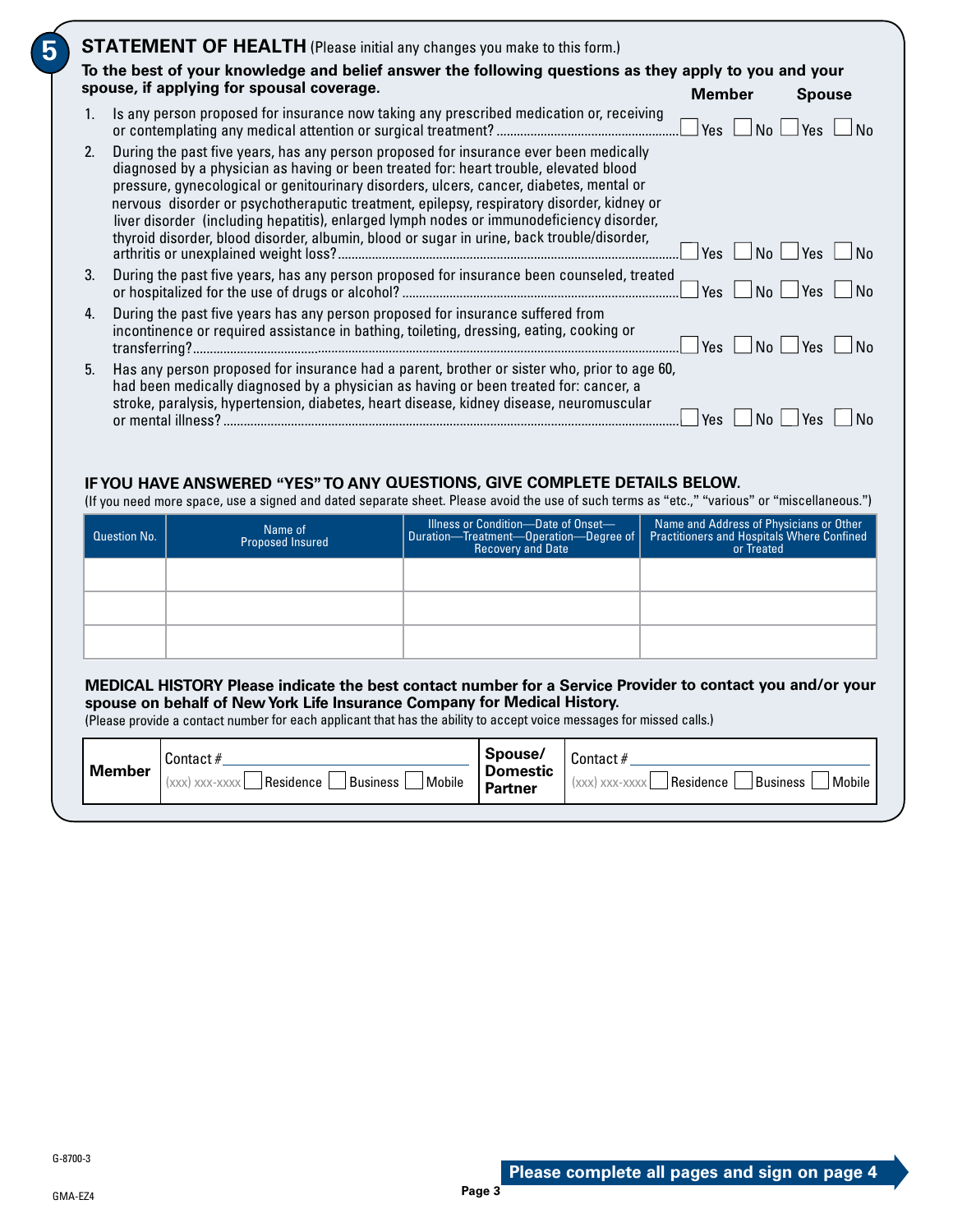|                | spouse, if applying for spousal coverage.                                                                                                                                                                                                                                                                                                                                                                                                                                                                                                                        | <b>Member</b>         | <b>Spouse</b> |
|----------------|------------------------------------------------------------------------------------------------------------------------------------------------------------------------------------------------------------------------------------------------------------------------------------------------------------------------------------------------------------------------------------------------------------------------------------------------------------------------------------------------------------------------------------------------------------------|-----------------------|---------------|
| 1.             | Is any person proposed for insurance now taking any prescribed medication or, receiving                                                                                                                                                                                                                                                                                                                                                                                                                                                                          | <b>Yes</b><br>No      | Yes           |
| 2 <sub>1</sub> | During the past five years, has any person proposed for insurance ever been medically<br>diagnosed by a physician as having or been treated for: heart trouble, elevated blood<br>pressure, gynecological or genitourinary disorders, ulcers, cancer, diabetes, mental or<br>nervous disorder or psychotheraputic treatment, epilepsy, respiratory disorder, kidney or<br>liver disorder (including hepatitis), enlarged lymph nodes or immunodeficiency disorder,<br>thyroid disorder, blood disorder, albumin, blood or sugar in urine, back trouble/disorder, | N <sub>o</sub><br>Yes | Yes<br>No     |
| 3.             | During the past five years, has any person proposed for insurance been counseled, treated                                                                                                                                                                                                                                                                                                                                                                                                                                                                        | Yes<br>No.            | Yes           |
| 4.             | During the past five years has any person proposed for insurance suffered from<br>incontinence or required assistance in bathing, toileting, dressing, eating, cooking or                                                                                                                                                                                                                                                                                                                                                                                        | No<br>Yes             | Yes           |
| 5.             | Has any person proposed for insurance had a parent, brother or sister who, prior to age 60,<br>had been medically diagnosed by a physician as having or been treated for: cancer, a<br>stroke, paralysis, hypertension, diabetes, heart disease, kidney disease, neuromuscular                                                                                                                                                                                                                                                                                   | No<br><b>Yes</b>      | Yes           |

#### **IF YOU HAVE ANSWERED "YES" TO ANY QUESTIONS, GIVE COMPLETE DETAILS BELOW.**

(If you need more space, use a signed and dated separate sheet. Please avoid the use of such terms as "etc.," "various" or "miscellaneous.")

| <b>Question No.</b> | Name of<br>Proposed Insured | Illness or Condition-Date of Onset-<br>Duration-Treatment-Operation-Degree of<br><b>Recovery and Date</b> | Name and Address of Physicians or Other<br>Practitioners and Hospitals Where Confined<br>or Treated |
|---------------------|-----------------------------|-----------------------------------------------------------------------------------------------------------|-----------------------------------------------------------------------------------------------------|
|                     |                             |                                                                                                           |                                                                                                     |
|                     |                             |                                                                                                           |                                                                                                     |
|                     |                             |                                                                                                           |                                                                                                     |

#### **MEDICAL HISTORY Please indicate the best contact number for a Service Provider to contact you and/or your spouse on behalf of New York Life Insurance Company for Medical History.**

(Please provide a contact number for each applicant that has the ability to accept voice messages for missed calls.)

| Contact#<br><b>Member</b><br>Residence<br>Mobile<br>Business<br>$(xxx)$ xxx-xxxx $\vert$ | Spouse/<br><b>Domestic</b><br><b>Partner</b> | Contact #<br>Residence<br><sup>I</sup> Mobile<br>Business<br>(XXX) XXX-XXXX |
|------------------------------------------------------------------------------------------|----------------------------------------------|-----------------------------------------------------------------------------|
|------------------------------------------------------------------------------------------|----------------------------------------------|-----------------------------------------------------------------------------|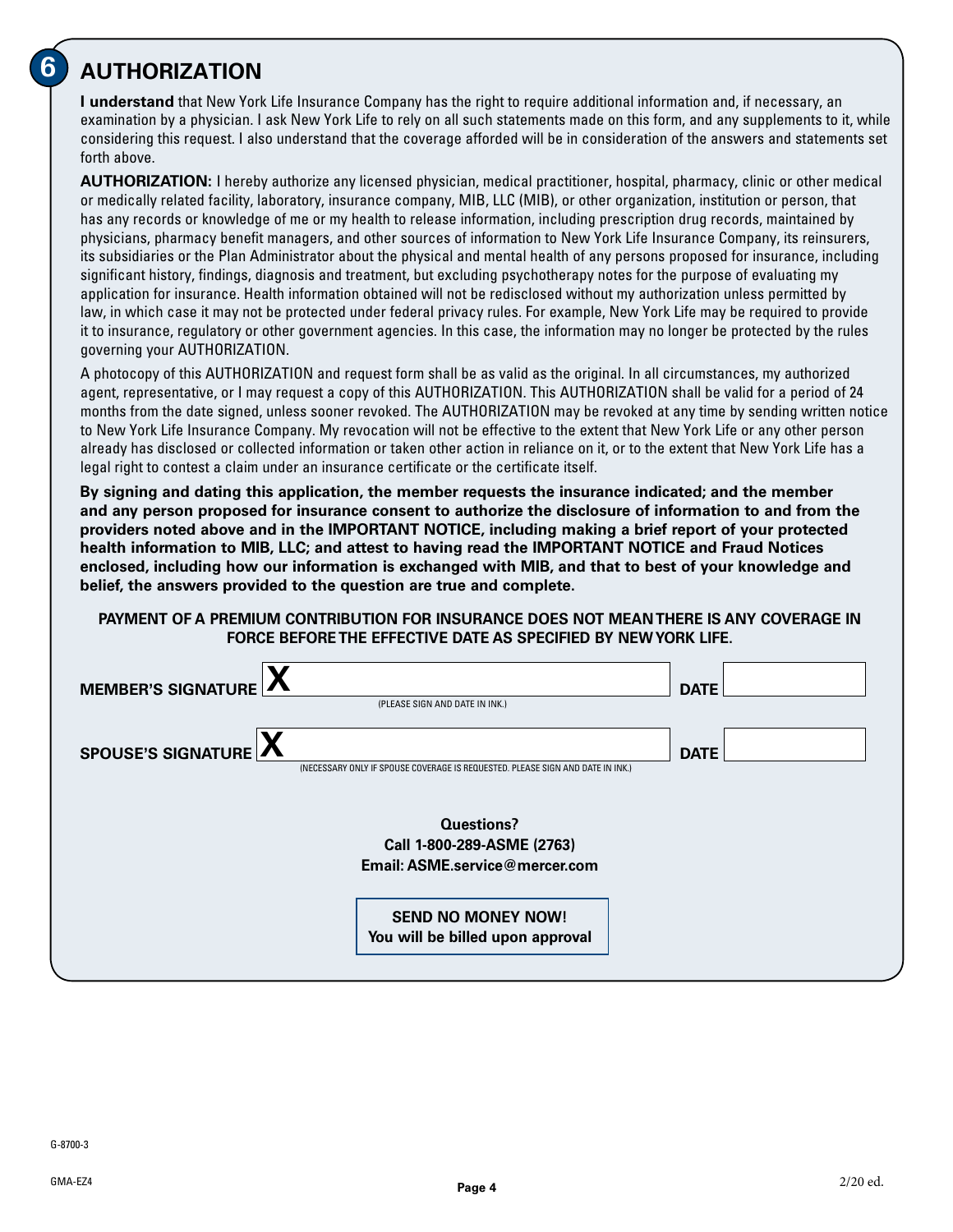# **6 AUTHORIZATION**

**I understand** that New York Life Insurance Company has the right to require additional information and, if necessary, an examination by a physician. I ask New York Life to rely on all such statements made on this form, and any supplements to it, while considering this request. I also understand that the coverage afforded will be in consideration of the answers and statements set forth above.

**AUTHORIZATION:** I hereby authorize any licensed physician, medical practitioner, hospital, pharmacy, clinic or other medical or medically related facility, laboratory, insurance company, MIB, LLC (MIB), or other organization, institution or person, that has any records or knowledge of me or my health to release information, including prescription drug records, maintained by physicians, pharmacy benefit managers, and other sources of information to New York Life Insurance Company, its reinsurers, its subsidiaries or the Plan Administrator about the physical and mental health of any persons proposed for insurance, including significant history, findings, diagnosis and treatment, but excluding psychotherapy notes for the purpose of evaluating my application for insurance. Health information obtained will not be redisclosed without my authorization unless permitted by law, in which case it may not be protected under federal privacy rules. For example, New York Life may be required to provide it to insurance, regulatory or other government agencies. In this case, the information may no longer be protected by the rules governing your AUTHORIZATION.

A photocopy of this AUTHORIZATION and request form shall be as valid as the original. In all circumstances, my authorized agent, representative, or I may request a copy of this AUTHORIZATION. This AUTHORIZATION shall be valid for a period of 24 months from the date signed, unless sooner revoked. The AUTHORIZATION may be revoked at any time by sending written notice to New York Life Insurance Company. My revocation will not be effective to the extent that New York Life or any other person already has disclosed or collected information or taken other action in reliance on it, or to the extent that New York Life has a legal right to contest a claim under an insurance certificate or the certificate itself.

**By signing and dating this application, the member requests the insurance indicated; and the member and any person proposed for insurance consent to authorize the disclosure of information to and from the providers noted above and in the IMPORTANT NOTICE, including making a brief report of your protected health information to MIB, LLC; and attest to having read the IMPORTANT NOTICE and Fraud Notices enclosed, including how our information is exchanged with MIB, and that to best of your knowledge and belief, the answers provided to the question are true and complete.**

#### **PAYMENT OF A PREMIUM CONTRIBUTION FOR INSURANCE DOES NOT MEAN THERE IS ANY COVERAGE IN FORCE BEFORE THE EFFECTIVE DATE AS SPECIFIED BY NEW YORK LIFE.**

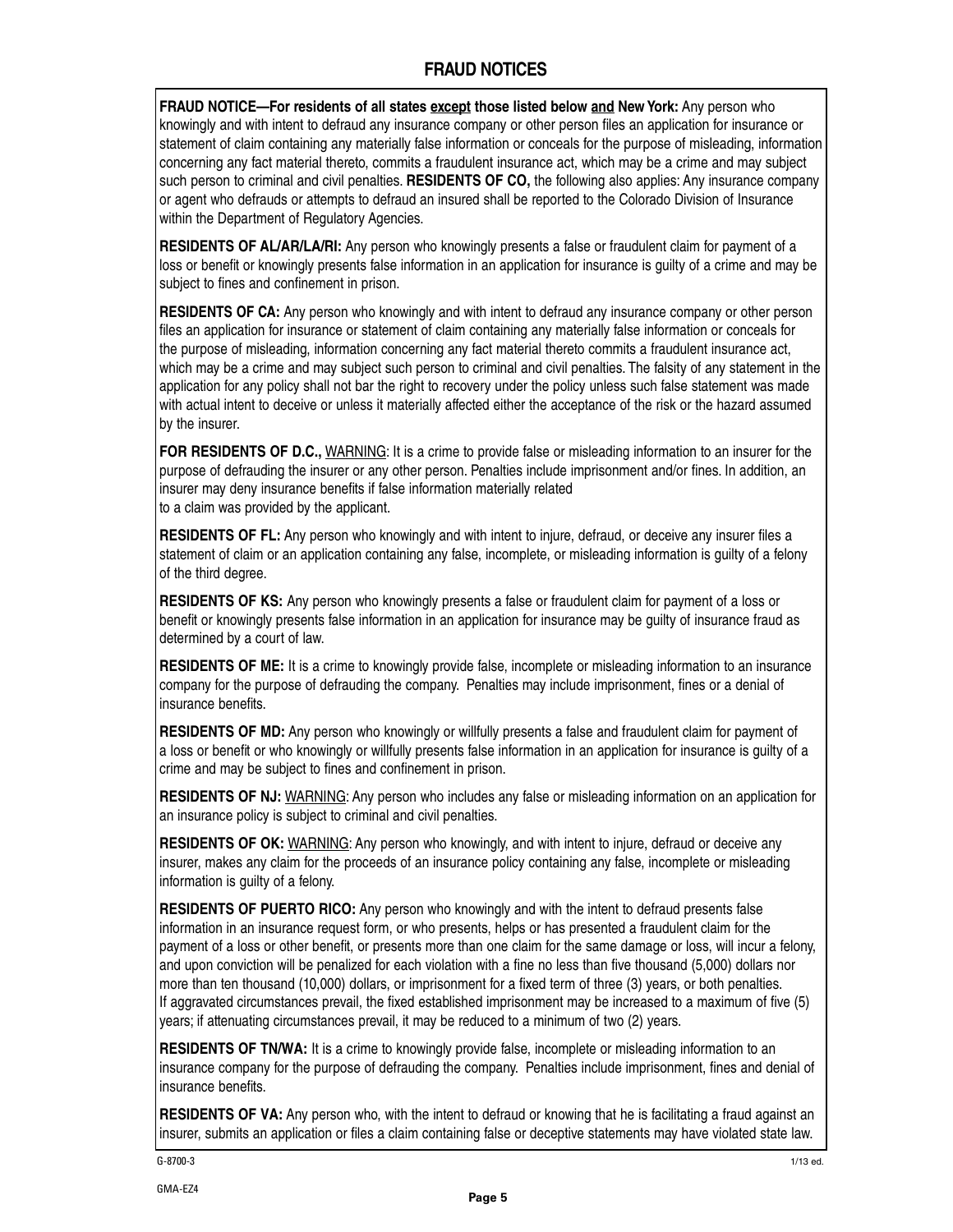#### **FRAUD NOTICES**

**FRAUD NOTICE—For residents of all states except those listed below and New York:** Any person who knowingly and with intent to defraud any insurance company or other person files an application for insurance or statement of claim containing any materially false information or conceals for the purpose of misleading, information concerning any fact material thereto, commits a fraudulent insurance act, which may be a crime and may subject such person to criminal and civil penalties. **RESIDENTS OF CO,** the following also applies: Any insurance company or agent who defrauds or attempts to defraud an insured shall be reported to the Colorado Division of Insurance within the Department of Regulatory Agencies.

**RESIDENTS OF AL/AR/LA/RI:** Any person who knowingly presents a false or fraudulent claim for payment of a loss or benefit or knowingly presents false information in an application for insurance is guilty of a crime and may be subject to fines and confinement in prison.

**RESIDENTS OF CA:** Any person who knowingly and with intent to defraud any insurance company or other person files an application for insurance or statement of claim containing any materially false information or conceals for the purpose of misleading, information concerning any fact material thereto commits a fraudulent insurance act, which may be a crime and may subject such person to criminal and civil penalties. The falsity of any statement in the application for any policy shall not bar the right to recovery under the policy unless such false statement was made with actual intent to deceive or unless it materially affected either the acceptance of the risk or the hazard assumed by the insurer.

**FOR RESIDENTS OF D.C.,** WARNING: It is a crime to provide false or misleading information to an insurer for the purpose of defrauding the insurer or any other person. Penalties include imprisonment and/or fines. In addition, an insurer may deny insurance benefits if false information materially related to a claim was provided by the applicant.

**RESIDENTS OF FL:** Any person who knowingly and with intent to injure, defraud, or deceive any insurer files a statement of claim or an application containing any false, incomplete, or misleading information is guilty of a felony of the third degree.

**RESIDENTS OF KS:** Any person who knowingly presents a false or fraudulent claim for payment of a loss or benefit or knowingly presents false information in an application for insurance may be guilty of insurance fraud as determined by a court of law.

**RESIDENTS OF ME:** It is a crime to knowingly provide false, incomplete or misleading information to an insurance company for the purpose of defrauding the company. Penalties may include imprisonment, fines or a denial of insurance benefits.

**RESIDENTS OF MD:** Any person who knowingly or willfully presents a false and fraudulent claim for payment of a loss or benefit or who knowingly or willfully presents false information in an application for insurance is guilty of a crime and may be subject to fines and confinement in prison.

**RESIDENTS OF NJ:** WARNING: Any person who includes any false or misleading information on an application for an insurance policy is subject to criminal and civil penalties.

**RESIDENTS OF OK:** WARNING: Any person who knowingly, and with intent to injure, defraud or deceive any insurer, makes any claim for the proceeds of an insurance policy containing any false, incomplete or misleading information is guilty of a felony.

**RESIDENTS OF PUERTO RICO:** Any person who knowingly and with the intent to defraud presents false information in an insurance request form, or who presents, helps or has presented a fraudulent claim for the payment of a loss or other benefit, or presents more than one claim for the same damage or loss, will incur a felony, and upon conviction will be penalized for each violation with a fine no less than five thousand (5,000) dollars nor more than ten thousand (10,000) dollars, or imprisonment for a fixed term of three (3) years, or both penalties. If aggravated circumstances prevail, the fixed established imprisonment may be increased to a maximum of five (5) years; if attenuating circumstances prevail, it may be reduced to a minimum of two (2) years.

**RESIDENTS OF TN/WA:** It is a crime to knowingly provide false, incomplete or misleading information to an insurance company for the purpose of defrauding the company. Penalties include imprisonment, fines and denial of insurance benefits.

**RESIDENTS OF VA:** Any person who, with the intent to defraud or knowing that he is facilitating a fraud against an insurer, submits an application or files a claim containing false or deceptive statements may have violated state law.